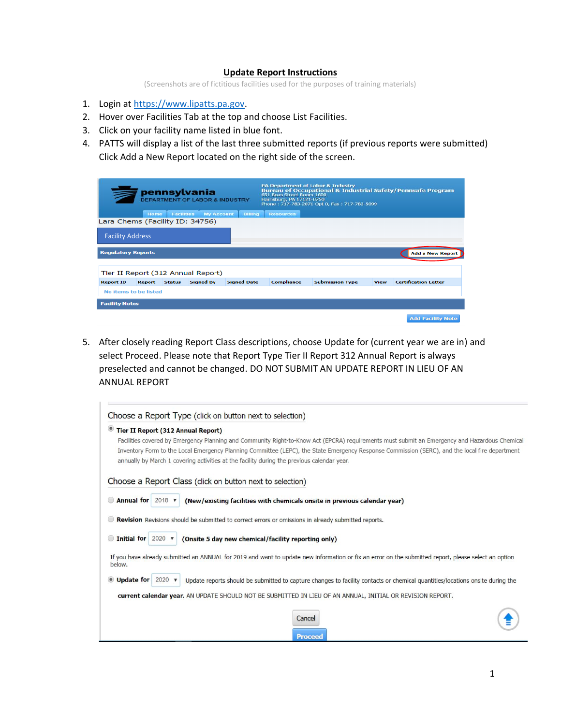## **Update Report Instructions**

(Screenshots are of fictitious facilities used for the purposes of training materials)

- 1. Login at [https://www.lipatts.pa.gov.](https://www.lipatts.pa.gov/)
- 2. Hover over Facilities Tab at the top and choose List Facilities.
- 3. Click on your facility name listed in blue font.
- 4. PATTS will display a list of the last three submitted reports (if previous reports were submitted) Click Add a New Report located on the right side of the screen.

| pennsylvania<br><b>DEPARTMENT OF LABOR &amp; INDUSTRY</b> |               |                   |                   | <b>PA Department of Labor &amp; Industry</b><br><b>Bureau of Occupational &amp; Industrial Safety/Pennsafe Program</b><br>651 Boas Street Room 1600<br>Harrisburg, PA 17121-0750<br>Phone: 717-783-2071 Opt 0, Fax: 717-783-5099 |                   |                        |             |                             |
|-----------------------------------------------------------|---------------|-------------------|-------------------|----------------------------------------------------------------------------------------------------------------------------------------------------------------------------------------------------------------------------------|-------------------|------------------------|-------------|-----------------------------|
|                                                           | Home          | <b>Facilities</b> | <b>My Account</b> | Billing                                                                                                                                                                                                                          | <b>Resources</b>  |                        |             |                             |
| Lara Chems (Facility ID: 34756)                           |               |                   |                   |                                                                                                                                                                                                                                  |                   |                        |             |                             |
| <b>Facility Address</b>                                   |               |                   |                   |                                                                                                                                                                                                                                  |                   |                        |             |                             |
| <b>Regulatory Reports</b>                                 |               |                   |                   |                                                                                                                                                                                                                                  |                   |                        |             | <b>Add a New Report</b>     |
| Tier II Report (312 Annual Report)                        |               |                   |                   |                                                                                                                                                                                                                                  |                   |                        |             |                             |
| <b>Report ID</b>                                          | <b>Report</b> | <b>Status</b>     | <b>Signed By</b>  | <b>Signed Date</b>                                                                                                                                                                                                               | <b>Compliance</b> | <b>Submission Type</b> | <b>View</b> | <b>Certification Letter</b> |
| No items to be listed                                     |               |                   |                   |                                                                                                                                                                                                                                  |                   |                        |             |                             |
| <b>Facility Notes</b>                                     |               |                   |                   |                                                                                                                                                                                                                                  |                   |                        |             |                             |
|                                                           |               |                   |                   |                                                                                                                                                                                                                                  |                   |                        |             | <b>Add Facility Note</b>    |

5. After closely reading Report Class descriptions, choose Update for (current year we are in) and select Proceed. Please note that Report Type Tier II Report 312 Annual Report is always preselected and cannot be changed. DO NOT SUBMIT AN UPDATE REPORT IN LIEU OF AN ANNUAL REPORT

| Tier II Report (312 Annual Report)                                                                         |                                                                                                                                                      |
|------------------------------------------------------------------------------------------------------------|------------------------------------------------------------------------------------------------------------------------------------------------------|
|                                                                                                            | Facilities covered by Emergency Planning and Community Right-to-Know Act (EPCRA) requirements must submit an Emergency and Hazardous Chemical        |
|                                                                                                            | Inventory Form to the Local Emergency Planning Committee (LEPC), the State Emergency Response Commission (SERC), and the local fire department       |
| annually by March 1 covering activities at the facility during the previous calendar year.                 |                                                                                                                                                      |
| Choose a Report Class (click on button next to selection)                                                  |                                                                                                                                                      |
| Annual for $2018$ $\blacktriangledown$                                                                     | (New/existing facilities with chemicals onsite in previous calendar year)                                                                            |
|                                                                                                            |                                                                                                                                                      |
| <b>Revision</b> Revisions should be submitted to correct errors or omissions in already submitted reports. |                                                                                                                                                      |
| <b>Initial for</b><br>$2020$ $\blacktriangledown$<br>(Onsite 5 day new chemical/facility reporting only)   |                                                                                                                                                      |
| below.                                                                                                     | If you have already submitted an ANNUAL for 2019 and want to update new information or fix an error on the submitted report, please select an option |
| Update for $2020 \times$                                                                                   | Update reports should be submitted to capture changes to facility contacts or chemical quantities/locations onsite during the                        |
|                                                                                                            |                                                                                                                                                      |
| current calendar year. AN UPDATE SHOULD NOT BE SUBMITTED IN LIEU OF AN ANNUAL, INITIAL OR REVISION REPORT. |                                                                                                                                                      |
|                                                                                                            |                                                                                                                                                      |
|                                                                                                            | Cancel                                                                                                                                               |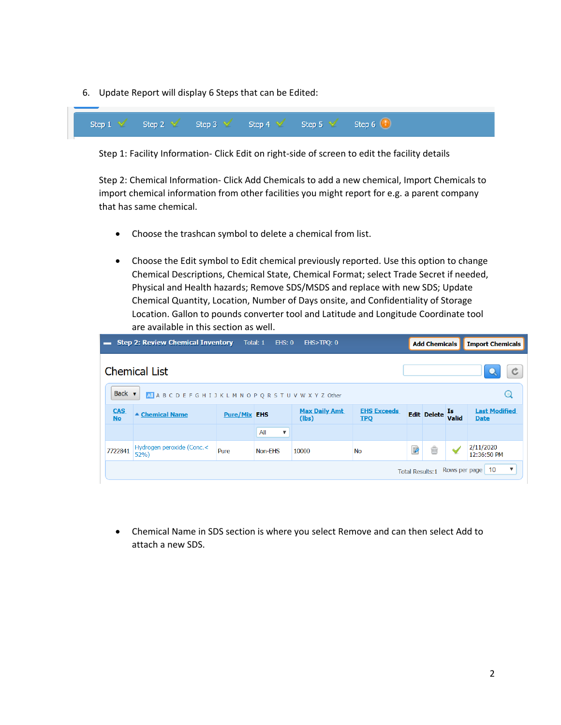6. Update Report will display 6 Steps that can be Edited:



Step 1: Facility Information- Click Edit on right-side of screen to edit the facility details

Step 2: Chemical Information- Click Add Chemicals to add a new chemical, Import Chemicals to import chemical information from other facilities you might report for e.g. a parent company that has same chemical.

- Choose the trashcan symbol to delete a chemical from list.
- Choose the Edit symbol to Edit chemical previously reported. Use this option to change Chemical Descriptions, Chemical State, Chemical Format; select Trade Secret if needed, Physical and Health hazards; Remove SDS/MSDS and replace with new SDS; Update Chemical Quantity, Location, Number of Days onsite, and Confidentiality of Storage Location. Gallon to pounds converter tool and Latitude and Longitude Coordinate tool are available in this section as well.

|                                                                                      | <b>Step 2: Review Chemical Inventory</b> |                     | Total: 1<br><b>EHS: 0</b> | EHS>TPQ: 0                    |                                  |   | <b>Add Chemicals</b> |       | <b>Import Chemicals</b>             |
|--------------------------------------------------------------------------------------|------------------------------------------|---------------------|---------------------------|-------------------------------|----------------------------------|---|----------------------|-------|-------------------------------------|
| <b>Chemical List</b>                                                                 |                                          |                     |                           |                               |                                  |   |                      |       |                                     |
| Back $\bullet$<br>Q<br>All A B C D E F G H I J K L M N O P Q R S T U V W X Y Z Other |                                          |                     |                           |                               |                                  |   |                      |       |                                     |
| <b>CAS</b><br><b>No</b>                                                              | ▲ Chemical Name                          | <b>Pure/Mix EHS</b> |                           | <b>Max Daily Amt</b><br>(lbs) | <b>EHS Exceeds</b><br><b>TPQ</b> |   | Edit Delete Is       | Valid | <b>Last Modified</b><br><b>Date</b> |
|                                                                                      |                                          |                     | All<br>▼                  |                               |                                  |   |                      |       |                                     |
| 7722841                                                                              | Hydrogen peroxide (Conc.<<br>52%         | Pure                | Non-EHS                   | 10000                         | No                               | B | ŵ                    |       | 2/11/2020<br>12:36:50 PM            |
| $\boldsymbol{\mathrm{v}}$<br>Rows per page   10<br><b>Total Results:1</b>            |                                          |                     |                           |                               |                                  |   |                      |       |                                     |

• Chemical Name in SDS section is where you select Remove and can then select Add to attach a new SDS.